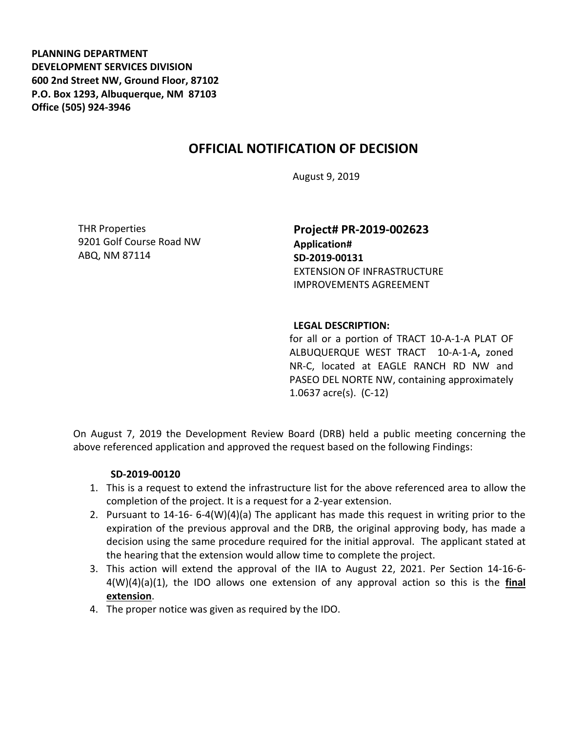**PLANNING DEPARTMENT DEVELOPMENT SERVICES DIVISION 600 2nd Street NW, Ground Floor, 87102 P.O. Box 1293, Albuquerque, NM 87103 Office (505) 924-3946** 

## **OFFICIAL NOTIFICATION OF DECISION**

August 9, 2019

THR Properties 9201 Golf Course Road NW ABQ, NM 87114

**Project# PR-2019-002623 Application# SD-2019-00131** EXTENSION OF INFRASTRUCTURE IMPROVEMENTS AGREEMENT

## **LEGAL DESCRIPTION:**

for all or a portion of TRACT 10-A-1-A PLAT OF ALBUQUERQUE WEST TRACT 10-A-1-A**,** zoned NR-C, located at EAGLE RANCH RD NW and PASEO DEL NORTE NW, containing approximately 1.0637 acre(s). (C-12)

On August 7, 2019 the Development Review Board (DRB) held a public meeting concerning the above referenced application and approved the request based on the following Findings:

## **SD-2019-00120**

- 1. This is a request to extend the infrastructure list for the above referenced area to allow the completion of the project. It is a request for a 2-year extension.
- 2. Pursuant to 14-16- 6-4(W)(4)(a) The applicant has made this request in writing prior to the expiration of the previous approval and the DRB, the original approving body, has made a decision using the same procedure required for the initial approval. The applicant stated at the hearing that the extension would allow time to complete the project.
- 3. This action will extend the approval of the IIA to August 22, 2021. Per Section 14-16-6- 4(W)(4)(a)(1), the IDO allows one extension of any approval action so this is the **final extension**.
- 4. The proper notice was given as required by the IDO.